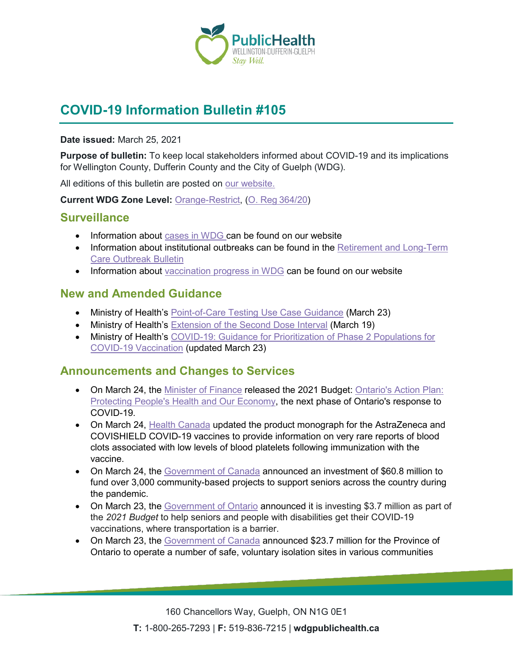

# **COVID-19 Information Bulletin #105**

#### **Date issued:** March 25, 2021

**Purpose of bulletin:** To keep local stakeholders informed about COVID-19 and its implications for Wellington County, Dufferin County and the City of Guelph (WDG).

All editions of this bulletin are posted on [our website.](https://www.wdgpublichealth.ca/your-health/covid-19-information-workplaces-and-living-spaces/community-stakeholder-bulletins)

**Current WDG Zone Level:** [Orange-Restrict,](https://www.ontario.ca/page/covid-19-response-framework-keeping-ontario-safe-and-open#orange) ([O. Reg](https://www.ontario.ca/laws/regulation/200364/v24)364/20)

### **Surveillance**

- Information about [cases in WDG](https://wdgpublichealth.ca/your-health/covid-19-information-public/status-cases-wdg) can be found on our website
- Information about institutional outbreaks can be found in the Retirement and Long-Term [Care Outbreak Bulletin](https://wdgpublichealth.ca/node/1542)
- Information about [vaccination progress](https://www.wdgpublichealth.ca/your-health/covid-19-information-public/covid-19-vaccine-information-public) in WDG can be found on our website

## **New and Amended Guidance**

- Ministry of Health's [Point-of-Care Testing Use Case Guidance](https://www.health.gov.on.ca/en/pro/programs/publichealth/coronavirus/docs/point_of_care_testing_use_case_guidance.pdf) (March 23)
- Ministry of Health's [Extension of the Second Dose Interval](https://www.health.gov.on.ca/en/pro/programs/publichealth/coronavirus/docs/vaccine/COVID_19_vaccine_dose_intervals.pdf) (March 19)
- Ministry of Health's COVID-19: Guidance for Prioritization of Phase 2 Populations for [COVID-19 Vaccination](https://www.health.gov.on.ca/en/pro/programs/publichealth/coronavirus/docs/vaccine/COVID-19_Phase_2_vaccination_prioritization.pdf) (updated March 23)

### **Announcements and Changes to Services**

- On March 24, the [Minister of Finance](https://news.ontario.ca/en/release/60876/ontarios-action-plan-protecting-peoples-health-and-our-economy) released the 2021 Budget: Ontario's Action Plan: [Protecting People's Health and Our Economy,](https://budget.ontario.ca/2021/index.html) the next phase of Ontario's response to COVID-19.
- On March 24, [Health Canada](https://www.canada.ca/en/health-canada/news/2021/03/health-canada-issues-label-change-and-guidance-on-the-astrazeneca-covid-19-vaccine.html) updated the product monograph for the AstraZeneca and COVISHIELD COVID-19 vaccines to provide information on very rare reports of blood clots associated with low levels of blood platelets following immunization with the vaccine.
- On March 24, the [Government of Canada](https://www.canada.ca/en/employment-social-development/news/2021/03/government-of-canada-funds-more-than-3000-projects-across-canada-to-support-seniors.html) announced an investment of \$60.8 million to fund over 3,000 community-based projects to support seniors across the country during the pandemic.
- On March 23, the [Government of Ontario](https://news.ontario.ca/en/release/60871/ontario-helping-people-get-their-covid-19-vaccination) announced it is investing \$3.7 million as part of the *2021 Budget* to help seniors and people with disabilities get their COVID-19 vaccinations, where transportation is a barrier.
- On March 23, the [Government of Canada](https://www.canada.ca/en/public-health/news/2021/03/government-of-canada-announces-funding-for-covid-19-safe-voluntary-isolation-sites-under-ontarios-high-priority-community-strategy.html) announced \$23.7 million for the Province of Ontario to operate a number of safe, voluntary isolation sites in various communities